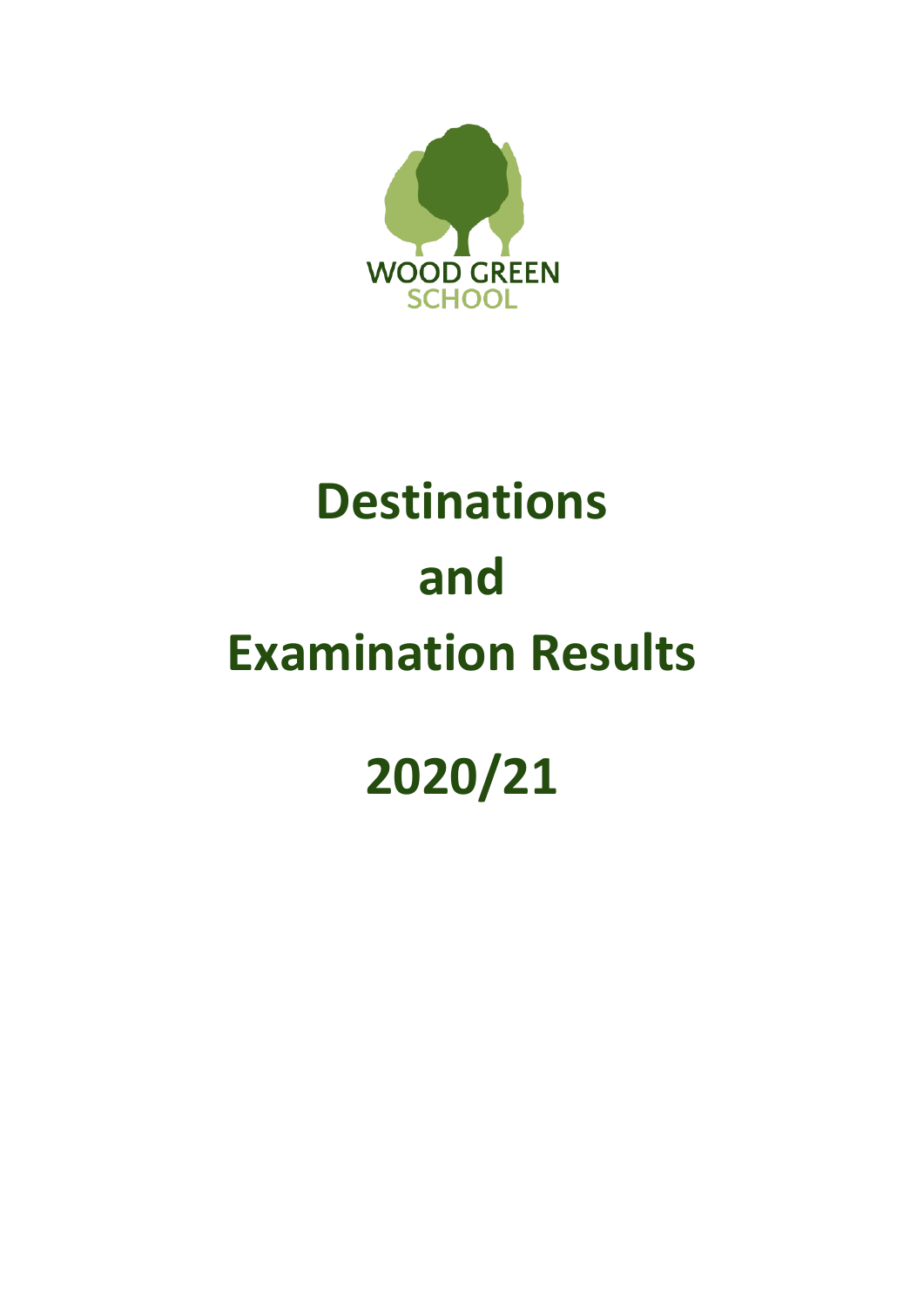

# **Destinations and Examination Results**

## **2020/21**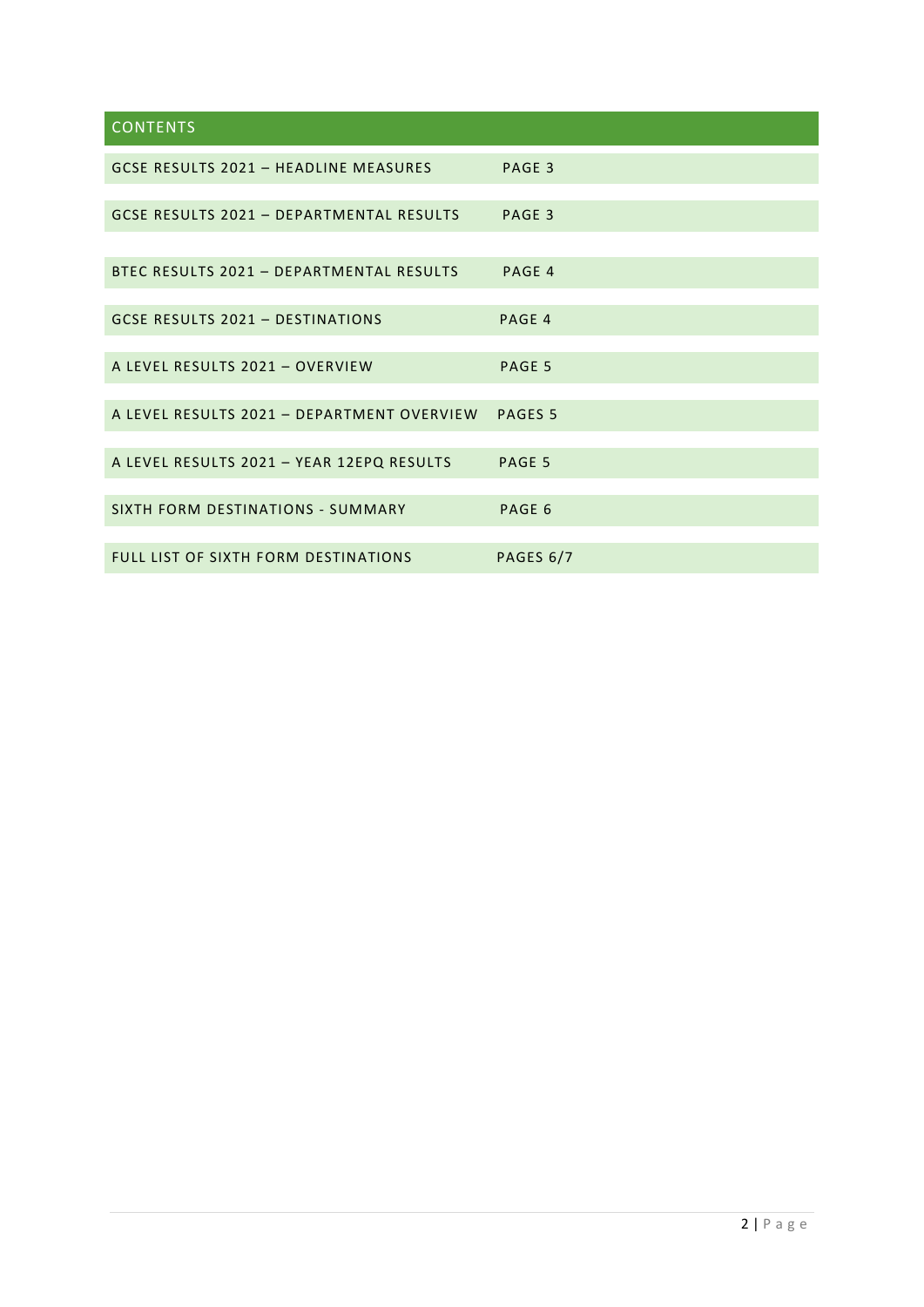### **CONTENTS**

| GCSE RESULTS 2021 - HEADLINE MEASURES       | PAGE 3             |
|---------------------------------------------|--------------------|
| GCSE RESULTS 2021 - DEPARTMENTAL RESULTS    | PAGE 3             |
|                                             |                    |
| BTEC RESULTS 2021 - DEPARTMENTAL RESULTS    | PAGE 4             |
|                                             |                    |
| <b>GCSE RESULTS 2021 - DESTINATIONS</b>     | PAGE 4             |
|                                             |                    |
| A LEVEL RESULTS 2021 - OVERVIEW             | PAGE 5             |
|                                             |                    |
| A LEVEL RESULTS 2021 - DEPARTMENT OVERVIEW  | PAGES <sub>5</sub> |
|                                             |                    |
| A LEVEL RESULTS 2021 - YEAR 12EPQ RESULTS   | PAGE 5             |
|                                             |                    |
| SIXTH FORM DESTINATIONS - SUMMARY           | PAGE 6             |
|                                             |                    |
| <b>FULL LIST OF SIXTH FORM DESTINATIONS</b> | PAGES 6/7          |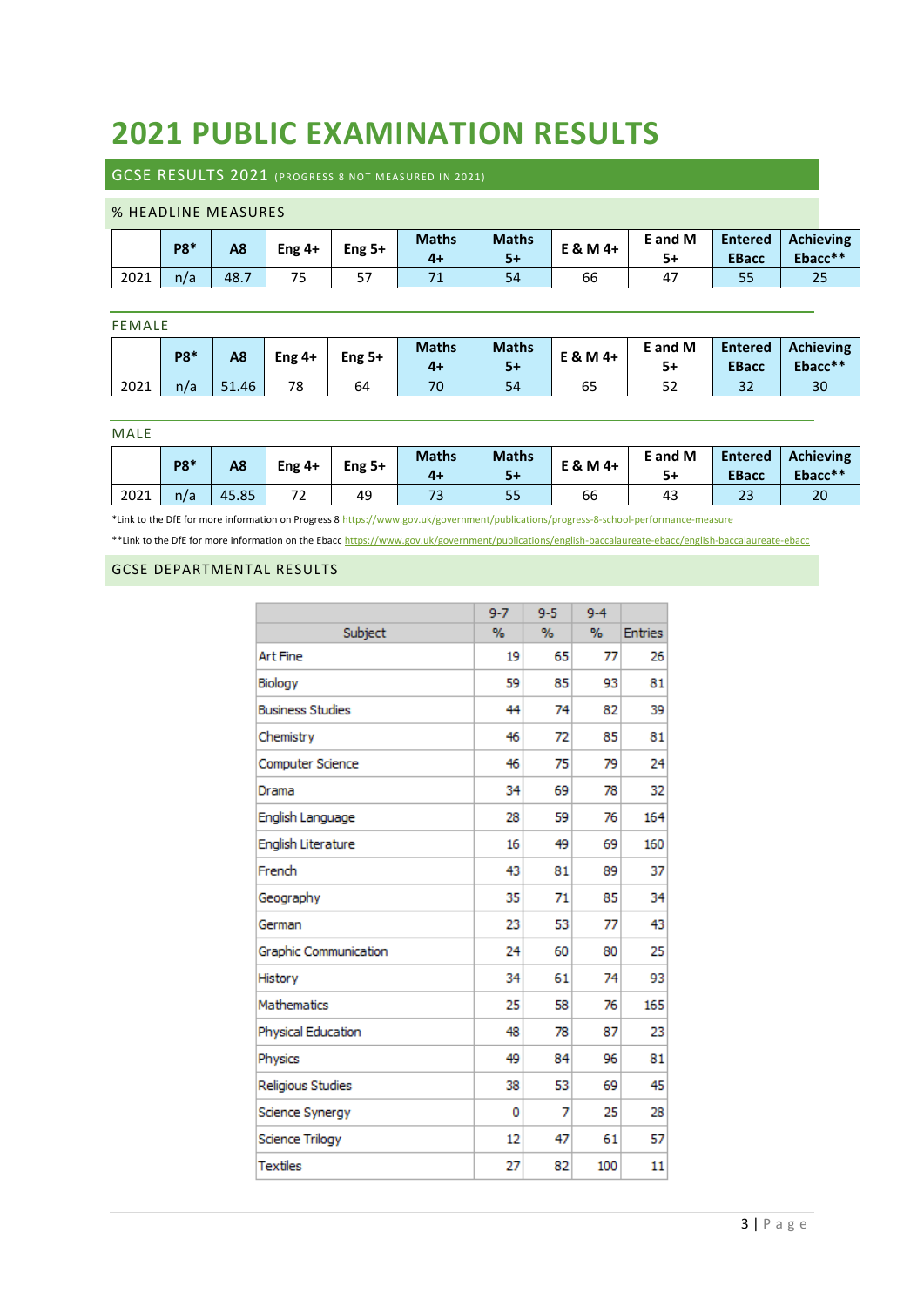## **2021 PUBLIC EXAMINATION RESULTS**

#### GCSE RESULTS 2021 (PROGRESS 8 NOT MEASURED IN 2021)

#### % HEADLINE MEASURES

|      | <b>P8*</b> | A8   | Eng $4+$              | Eng $5+$ | <b>Maths</b><br>$4+$ | <b>Maths</b><br>$5+$ | E & M 4+ | E and M<br>5+ | <b>Entered</b><br><b>EBacc</b> | <b>Achieving</b><br>Ebacc** |
|------|------------|------|-----------------------|----------|----------------------|----------------------|----------|---------------|--------------------------------|-----------------------------|
| 2021 | n/a        | 48.7 | 7 <sub>0</sub><br>75. | 57       |                      | 54                   | 66       | 47            | 55                             | 25                          |

#### FEMALE

|      | <b>P8*</b> | A8    | Eng $4+$ | Eng 5+ | <b>Maths</b> | <b>Maths</b><br>$5+$ | E & M 4+ | E and M<br>$5+$ | <b>Entered</b><br><b>EBacc</b> | <b>Achieving</b><br>Ebacc** |
|------|------------|-------|----------|--------|--------------|----------------------|----------|-----------------|--------------------------------|-----------------------------|
| 2021 | n/a        | 51.46 | 78       | 64     | 70           | 54                   | 65       | 52              | 34                             | 30                          |

#### MALE

|      | P8* | A8    | Eng $4+$                               | Eng 5+ | <b>Maths</b><br>$4+$ | <b>Maths</b><br>5+ | E & M 4+ | E and M<br>5+ | <b>Entered</b><br><b>EBacc</b> | <b>Achieving</b><br>Ebacc** |
|------|-----|-------|----------------------------------------|--------|----------------------|--------------------|----------|---------------|--------------------------------|-----------------------------|
| 2021 | n/a | 45.85 | $\overline{\phantom{a}}$<br>, <u>,</u> | 49     | ر ,                  | 55                 | 66       | 43            | 49                             | 20                          |

\*Link to the DfE for more information on Progress 8<https://www.gov.uk/government/publications/progress-8-school-performance-measure> \*\*Link to the DfE for more information on the Ebac[c https://www.gov.uk/government/publications/english-baccalaureate-ebacc/english-baccalaureate-ebacc](https://www.gov.uk/government/publications/english-baccalaureate-ebacc/english-baccalaureate-ebacc)

#### GCSE DEPARTMENTAL RESULTS

|                         | $9 - 7$ | $9 - 5$ | $9 - 4$ |                |
|-------------------------|---------|---------|---------|----------------|
| Subject                 | $\%$    | %       | $\%$    | <b>Entries</b> |
| <b>Art Fine</b>         | 19      | 65      | 77      | 26             |
| Biology                 | 59      | 85      | 93      | 81             |
| <b>Business Studies</b> | 44      | 74      | 82      | 39             |
| Chemistry               | 46      | 72      | 85      | 81             |
| Computer Science        | 46      | 75      | 79      | 24             |
| Drama                   | 34      | 69      | 78      | 32             |
| English Language        | 28      | 59      | 76      | 164            |
| English Literature      | 16      | 49      | 69      | 160            |
| French                  | 43      | 81      | 89      | 37             |
| Geography               | 35      | 71      | 85      | 34             |
| German                  | 23      | 53      | 77      | 43             |
| Graphic Communication   | 24      | 60      | 80      | 25             |
| History                 | 34      | 61      | 74      | 93             |
| <b>Mathematics</b>      | 25      | 58      | 76      | 165            |
| Physical Education      | 48      | 78      | 87      | 23             |
| Physics                 | 49      | 84      | 96      | 81             |
| Religious Studies       | 38      | 53      | 69      | 45             |
| Science Synergy         | 0       | 7       | 25      | 28             |
| Science Trilogy         | 12      | 47      | 61      | 57             |
| <b>Textiles</b>         | 27      | 82      | 100     | 11             |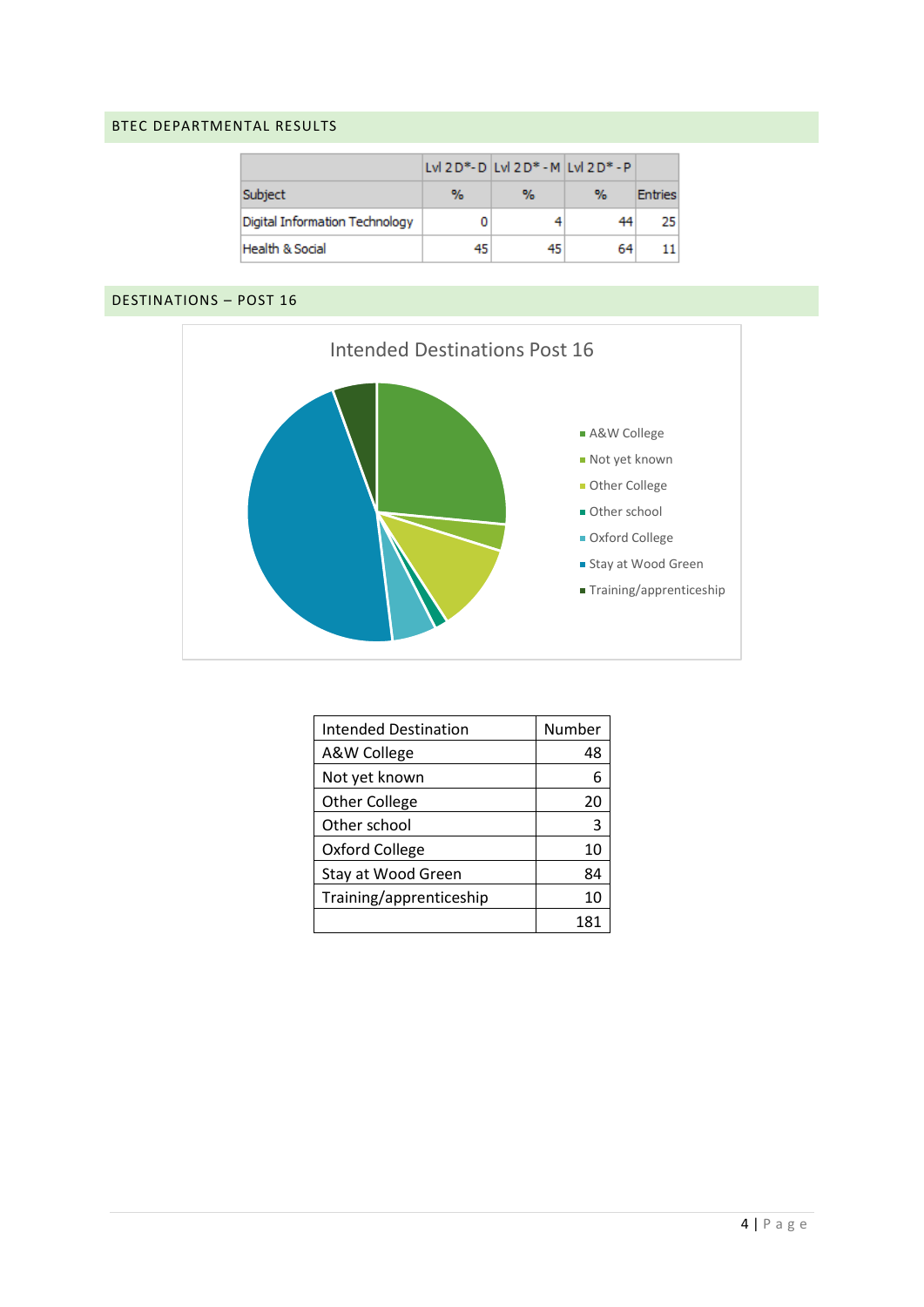#### BTEC DEPARTMENTAL RESULTS

|                                |   | Lvl 2 D*- D   Lvl 2 D* - M   Lvl 2 D* - P |    |                |
|--------------------------------|---|-------------------------------------------|----|----------------|
| Subject                        | % | ℆                                         | %  | <b>Entries</b> |
| Digital Information Technology |   |                                           |    | 25             |
| Health & Social                |   |                                           | 64 |                |

#### DESTINATIONS – POST 16



| <b>Intended Destination</b> | Number |
|-----------------------------|--------|
| A&W College                 | 48     |
| Not yet known               | 6      |
| <b>Other College</b>        | 20     |
| Other school                | З      |
| Oxford College              | 10     |
| Stay at Wood Green          | 84     |
| Training/apprenticeship     | 10     |
|                             | 181    |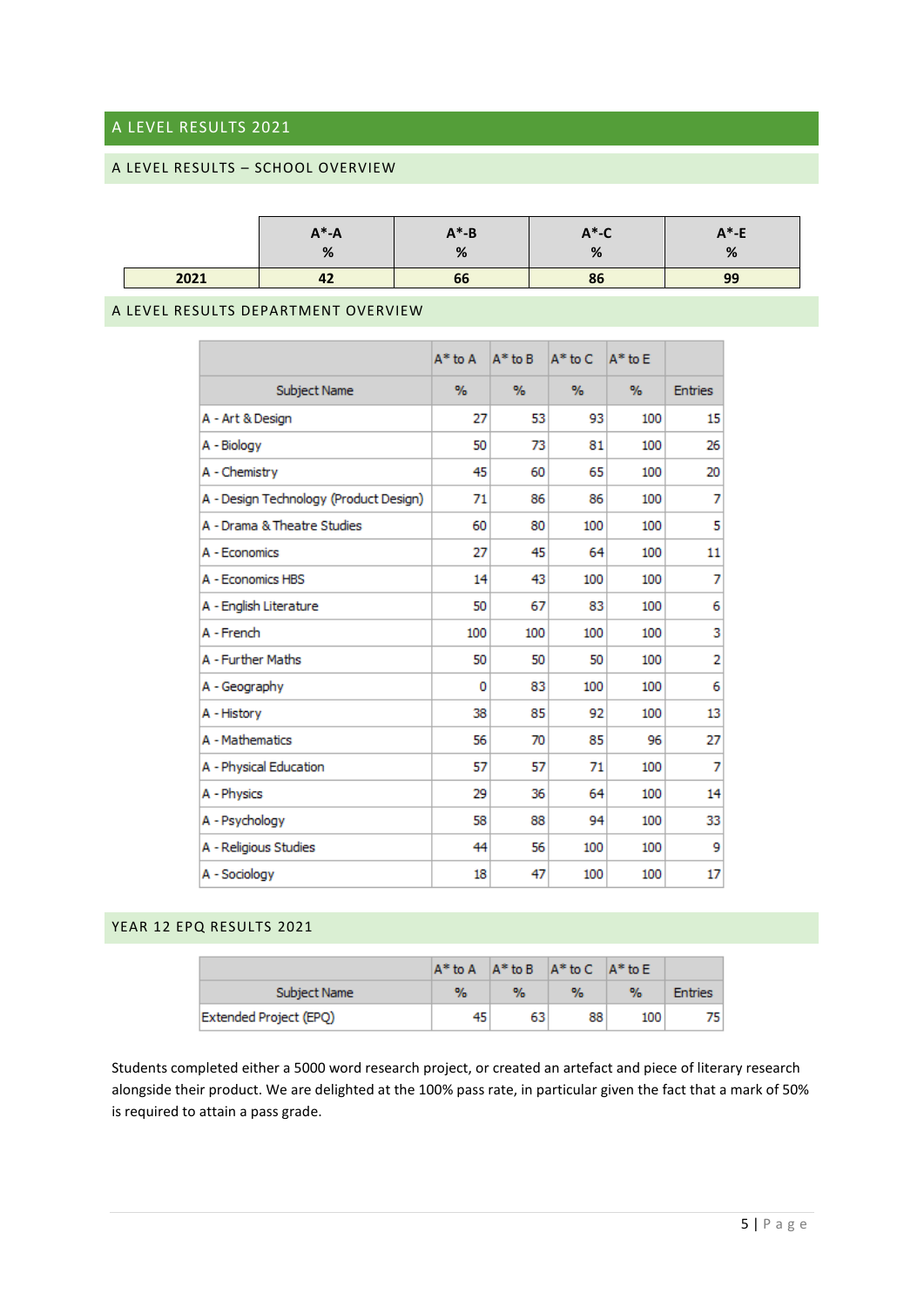#### A LEVEL RESULTS 2021

#### A LEVEL RESULTS – SCHOOL OVERVIEW

|      | $A^* - A$<br>% | $A^* - B$<br>% | $A^*$ -C<br>٥/<br>70 | $A^*$ -E<br>% |
|------|----------------|----------------|----------------------|---------------|
| 2021 | 42             | 66             | 86                   | 99            |

#### A LEVEL RESULTS DEPARTMENT OVERVIEW

|                                        | $A^*$ to $A$ | $A^*$ to $B$ | $A^*$ to C | $A^*$ to $E$ |                |
|----------------------------------------|--------------|--------------|------------|--------------|----------------|
| Subject Name                           | $\%$         | $\%$         | %          | %            | <b>Entries</b> |
| A - Art & Design                       | 27           | 53           | 93         | 100          | 15             |
| A - Biology                            | 50           | 73           | 81         | 100          | 26             |
| A - Chemistry                          | 45           | 60           | 65         | 100          | 20             |
| A - Design Technology (Product Design) | 71           | 86           | 86         | 100          | 7              |
| A - Drama & Theatre Studies            | 60           | 80           | 100        | 100          | 5              |
| A - Economics                          | 27           | 45           | 64         | 100          | 11             |
| A - Economics HBS                      | 14           | 43           | 100        | 100          | 7              |
| A - English Literature                 | 50           | 67           | 83         | 100          | 6              |
| A - French                             | 100          | 100          | 100        | 100          | 3              |
| A - Further Maths                      | 50           | 50           | 50         | 100          | 2              |
| A - Geography                          | 0            | 83           | 100        | 100          | 6              |
| A - History                            | 38           | 85           | 92         | 100          | 13             |
| A - Mathematics                        | 56           | 70           | 85         | 96           | 27             |
| A - Physical Education                 | 57           | 57           | 71         | 100          | 7              |
| A - Physics                            | 29           | 36           | 64         | 100          | 14             |
| A - Psychology                         | 58           | 88           | 94         | 100          | 33             |
| A - Religious Studies                  | 44           | 56           | 100        | 100          | 9              |
| A - Sociology                          | 18           | 47           | 100        | 100          | 17             |

#### YEAR 12 EPQ RESULTS 2021

|                        |    |      | $A^*$ to A $A^*$ to B $A^*$ to C $A^*$ to E |      |                |
|------------------------|----|------|---------------------------------------------|------|----------------|
| Subject Name           | %  | $\%$ | $\%$                                        | $\%$ | <b>Entries</b> |
| Extended Project (EPQ) | 45 | 63   | 88                                          | 100  |                |

Students completed either a 5000 word research project, or created an artefact and piece of literary research alongside their product. We are delighted at the 100% pass rate, in particular given the fact that a mark of 50% is required to attain a pass grade.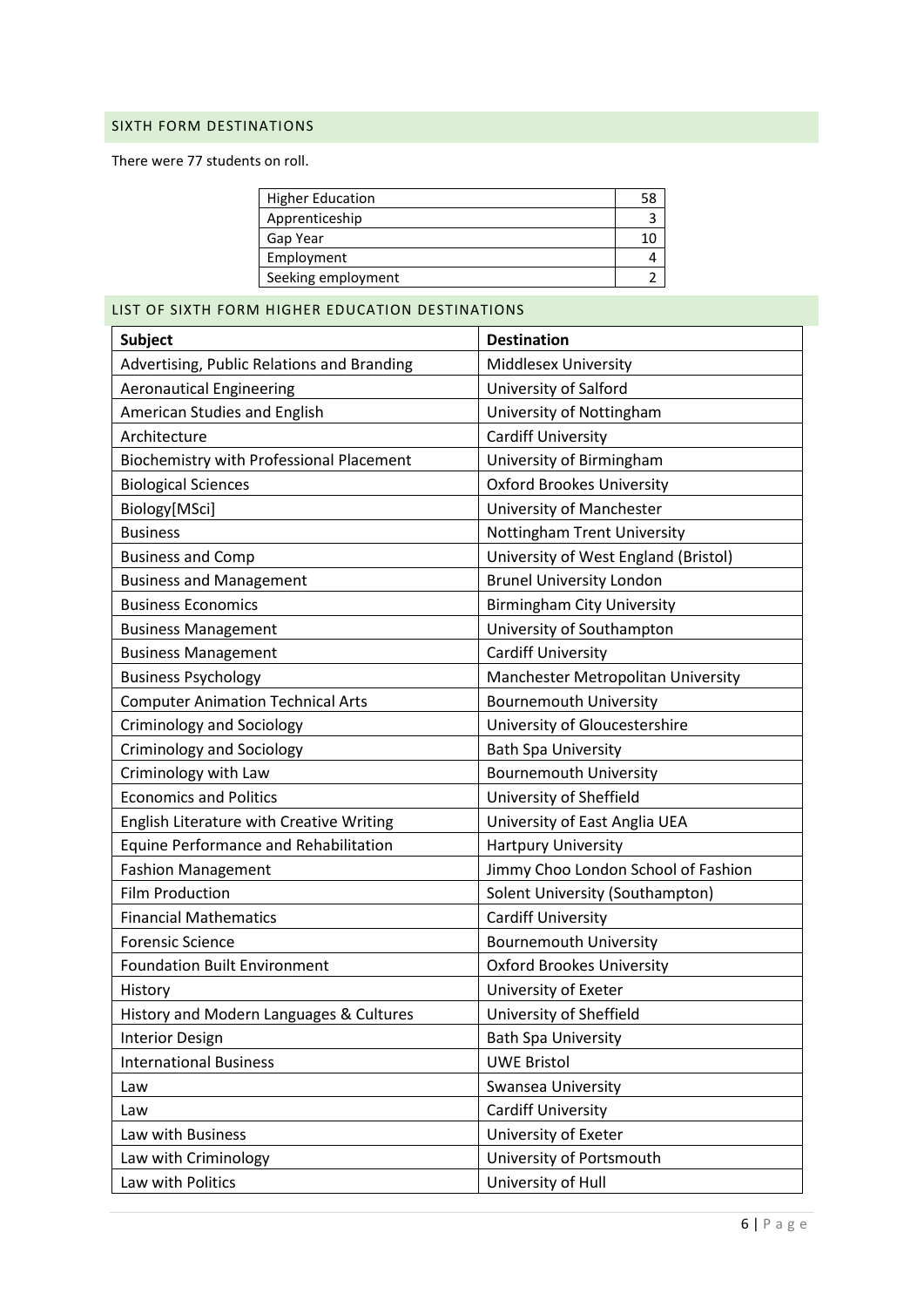#### SIXTH FORM DESTINATIONS

There were 77 students on roll.

| <b>Higher Education</b> |  |
|-------------------------|--|
| Apprenticeship          |  |
| Gap Year                |  |
| Employment              |  |
| Seeking employment      |  |

LIST OF SIXTH FORM HIGHER EDUCATION DESTINATIONS

| <b>Subject</b>                                  | <b>Destination</b>                   |
|-------------------------------------------------|--------------------------------------|
| Advertising, Public Relations and Branding      | <b>Middlesex University</b>          |
| <b>Aeronautical Engineering</b>                 | University of Salford                |
| American Studies and English                    | University of Nottingham             |
| Architecture                                    | <b>Cardiff University</b>            |
| <b>Biochemistry with Professional Placement</b> | University of Birmingham             |
| <b>Biological Sciences</b>                      | <b>Oxford Brookes University</b>     |
| Biology[MSci]                                   | University of Manchester             |
| <b>Business</b>                                 | Nottingham Trent University          |
| <b>Business and Comp</b>                        | University of West England (Bristol) |
| <b>Business and Management</b>                  | <b>Brunel University London</b>      |
| <b>Business Economics</b>                       | <b>Birmingham City University</b>    |
| <b>Business Management</b>                      | University of Southampton            |
| <b>Business Management</b>                      | <b>Cardiff University</b>            |
| <b>Business Psychology</b>                      | Manchester Metropolitan University   |
| <b>Computer Animation Technical Arts</b>        | <b>Bournemouth University</b>        |
| <b>Criminology and Sociology</b>                | University of Gloucestershire        |
| <b>Criminology and Sociology</b>                | <b>Bath Spa University</b>           |
| Criminology with Law                            | <b>Bournemouth University</b>        |
| <b>Economics and Politics</b>                   | University of Sheffield              |
| English Literature with Creative Writing        | University of East Anglia UEA        |
| Equine Performance and Rehabilitation           | <b>Hartpury University</b>           |
| <b>Fashion Management</b>                       | Jimmy Choo London School of Fashion  |
| <b>Film Production</b>                          | Solent University (Southampton)      |
| <b>Financial Mathematics</b>                    | <b>Cardiff University</b>            |
| <b>Forensic Science</b>                         | <b>Bournemouth University</b>        |
| <b>Foundation Built Environment</b>             | <b>Oxford Brookes University</b>     |
| History                                         | University of Exeter                 |
| History and Modern Languages & Cultures         | University of Sheffield              |
| <b>Interior Design</b>                          | <b>Bath Spa University</b>           |
| <b>International Business</b>                   | <b>UWE Bristol</b>                   |
| Law                                             | Swansea University                   |
| Law                                             | <b>Cardiff University</b>            |
| Law with Business                               | University of Exeter                 |
| Law with Criminology                            | University of Portsmouth             |
| Law with Politics                               | University of Hull                   |